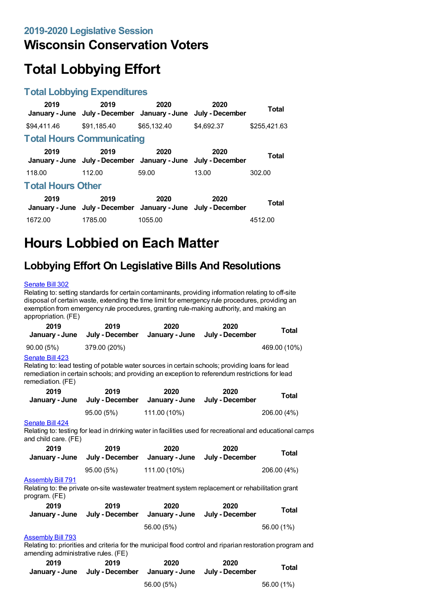## **Wisconsin Conservation Voters**

# **Total Lobbying Effort**

#### **Total Lobbying Expenditures**

| 2019                     | 2019<br>January - June July - December January - June                 | 2020        | 2020<br>July - December | Total        |  |
|--------------------------|-----------------------------------------------------------------------|-------------|-------------------------|--------------|--|
| \$94,411.46              | \$91.185.40                                                           | \$65,132,40 | \$4.692.37              | \$255,421.63 |  |
|                          | <b>Total Hours Communicating</b>                                      |             |                         |              |  |
| 2019                     | 2019<br>January - June July - December January - June July - December | 2020        | 2020                    | <b>Total</b> |  |
| 118.00                   | 112.00                                                                | 59.00       | 13.00                   | 302.00       |  |
| <b>Total Hours Other</b> |                                                                       |             |                         |              |  |
| 2019                     | 2019<br>January - June July - December January - June July - December | 2020        | 2020                    | Total        |  |
| 1672.00                  | 1785.00                                                               | 1055.00     |                         | 4512.00      |  |

## **Hours Lobbied on Each Matter**

### **Lobbying Effort On Legislative Bills And Resolutions**

#### [Senate](https://lobbying.wi.gov/What/BillInformation/2019REG/Information/16696?tab=Efforts) Bill 302

Relating to: setting standards for certain contaminants, providing information relating to off-site disposal of certain waste, extending the time limit for emergency rule procedures, providing an exemption from emergency rule procedures, granting rule-making authority, and making an appropriation. (FE)

| 2019<br>January - June                                                                                                                               | 2019<br>July - December                                                                                                                                                                           | 2020<br>January - June                                 | 2020<br>July - December        | Total        |  |
|------------------------------------------------------------------------------------------------------------------------------------------------------|---------------------------------------------------------------------------------------------------------------------------------------------------------------------------------------------------|--------------------------------------------------------|--------------------------------|--------------|--|
| 90.00(5%)                                                                                                                                            | 379.00 (20%)                                                                                                                                                                                      |                                                        |                                | 469.00 (10%) |  |
| Senate Bill 423<br>remediation. (FE)                                                                                                                 | Relating to: lead testing of potable water sources in certain schools; providing loans for lead<br>remediation in certain schools; and providing an exception to referendum restrictions for lead |                                                        |                                |              |  |
| 2019<br>January - June                                                                                                                               | 2019<br>July - December                                                                                                                                                                           | 2020<br>January - June                                 | 2020<br>July - December        | Total        |  |
|                                                                                                                                                      | 95.00 (5%)                                                                                                                                                                                        | 111.00 (10%)                                           |                                | 206.00 (4%)  |  |
| Senate Bill 424<br>Relating to: testing for lead in drinking water in facilities used for recreational and educational camps<br>and child care. (FE) |                                                                                                                                                                                                   |                                                        |                                |              |  |
| 2019                                                                                                                                                 | 2019                                                                                                                                                                                              | 2020                                                   | 2020                           | Total        |  |
| January - June                                                                                                                                       | July - December                                                                                                                                                                                   |                                                        | January - June July - December |              |  |
|                                                                                                                                                      | 95.00 (5%)                                                                                                                                                                                        | 111.00 (10%)                                           |                                | 206.00 (4%)  |  |
| <b>Assembly Bill 791</b><br>Relating to: the private on-site wastewater treatment system replacement or rehabilitation grant<br>program. (FE)        |                                                                                                                                                                                                   |                                                        |                                |              |  |
| 2019<br>January - June                                                                                                                               | 2019                                                                                                                                                                                              | 2020<br>July - December January - June July - December | 2020                           | <b>Total</b> |  |
|                                                                                                                                                      |                                                                                                                                                                                                   | 56.00 (5%)                                             |                                | 56.00 (1%)   |  |
| <b>Assembly Bill 793</b>                                                                                                                             |                                                                                                                                                                                                   |                                                        |                                |              |  |

Relating to: priorities and criteria for the municipal flood control and riparian restoration program and amending administrative rules. (FE)

| 2019 | 2019<br>January - June July - December January - June July - December | 2020       | 2020 | <b>Total</b> |
|------|-----------------------------------------------------------------------|------------|------|--------------|
|      |                                                                       | 56.00 (5%) |      | 56.00 (1%)   |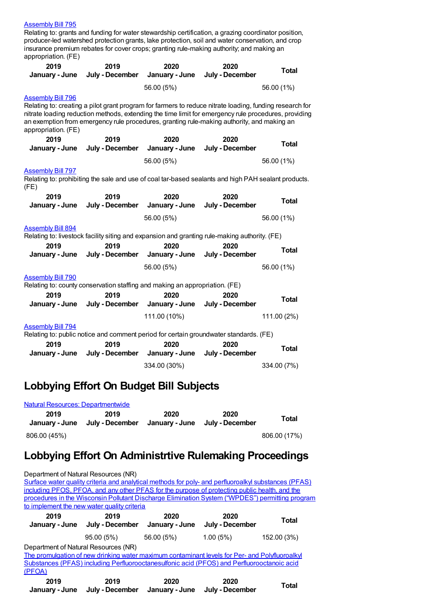#### [Assembly](https://lobbying.wi.gov/What/BillInformation/2019REG/Information/17686?tab=Efforts) Bill 795

Relating to: grants and funding for water stewardship certification, a grazing coordinator position, producer-led watershed protection grants, lake protection, soil and water conservation, and crop insurance premium rebates for cover crops; granting rule-making authority; and making an appropriation. (FE)

| 2019<br>January - June                          | 2019<br>July - December                                                                                                                                                                                                                                                                                       | 2020<br>January - June | 2020<br>July - December | <b>Total</b> |  |  |
|-------------------------------------------------|---------------------------------------------------------------------------------------------------------------------------------------------------------------------------------------------------------------------------------------------------------------------------------------------------------------|------------------------|-------------------------|--------------|--|--|
|                                                 |                                                                                                                                                                                                                                                                                                               | 56.00 (5%)             |                         | 56.00 (1%)   |  |  |
| <b>Assembly Bill 796</b><br>appropriation. (FE) | Relating to: creating a pilot grant program for farmers to reduce nitrate loading, funding research for<br>nitrate loading reduction methods, extending the time limit for emergency rule procedures, providing<br>an exemption from emergency rule procedures, granting rule-making authority, and making an |                        |                         |              |  |  |
| 2019                                            | 2019                                                                                                                                                                                                                                                                                                          | 2020                   | 2020                    | <b>Total</b> |  |  |
| January - June                                  | July - December                                                                                                                                                                                                                                                                                               | January - June         | July - December         |              |  |  |
|                                                 |                                                                                                                                                                                                                                                                                                               | 56.00 (5%)             |                         | 56.00 (1%)   |  |  |
| <b>Assembly Bill 797</b><br>(FE)                | Relating to: prohibiting the sale and use of coal tar-based sealants and high PAH sealant products.                                                                                                                                                                                                           |                        |                         |              |  |  |
| 2019                                            | 2019                                                                                                                                                                                                                                                                                                          | 2020                   | 2020                    | <b>Total</b> |  |  |
| January - June                                  | July - December                                                                                                                                                                                                                                                                                               | January - June         | July - December         |              |  |  |
|                                                 |                                                                                                                                                                                                                                                                                                               | 56.00 (5%)             |                         | 56.00 (1%)   |  |  |
| <b>Assembly Bill 894</b>                        | Relating to: livestock facility siting and expansion and granting rule-making authority. (FE)                                                                                                                                                                                                                 |                        |                         |              |  |  |
| 2019<br>January - June                          | 2019<br>July - December                                                                                                                                                                                                                                                                                       | 2020<br>January - June | 2020<br>July - December | <b>Total</b> |  |  |
|                                                 |                                                                                                                                                                                                                                                                                                               | 56.00 (5%)             |                         | 56.00 (1%)   |  |  |
| <b>Assembly Bill 790</b>                        | Relating to: county conservation staffing and making an appropriation. (FE)                                                                                                                                                                                                                                   |                        |                         |              |  |  |
| 2019<br>January - June                          | 2019<br>July - December                                                                                                                                                                                                                                                                                       | 2020<br>January - June | 2020<br>July - December | <b>Total</b> |  |  |
|                                                 |                                                                                                                                                                                                                                                                                                               | 111.00 (10%)           |                         | 111.00 (2%)  |  |  |
| <b>Assembly Bill 794</b>                        | Relating to: public notice and comment period for certain groundwater standards. (FE)                                                                                                                                                                                                                         |                        |                         |              |  |  |
| 2019                                            | 2019                                                                                                                                                                                                                                                                                                          | 2020                   | 2020                    | <b>Total</b> |  |  |
| January - June                                  | July - December                                                                                                                                                                                                                                                                                               | January - June         | July - December         |              |  |  |
|                                                 |                                                                                                                                                                                                                                                                                                               | 334.00 (30%)           |                         | 334.00 (7%)  |  |  |

### **Lobbying Effort On Budget Bill Subjects**

| Natural Resources: Departmentwide |                         |      |                                        |              |  |  |
|-----------------------------------|-------------------------|------|----------------------------------------|--------------|--|--|
| 2019<br>January - June            | 2019<br>July - December | 2020 | 2020<br>January - June July - December | Total        |  |  |
| 806.00 (45%)                      |                         |      |                                        | 806.00 (17%) |  |  |

### **Lobbying Effort On Administrtive Rulemaking Proceedings**

| Department of Natural Resources (NR) |                                                               |                                     |                                                                                                                                                                                                                                        |             |
|--------------------------------------|---------------------------------------------------------------|-------------------------------------|----------------------------------------------------------------------------------------------------------------------------------------------------------------------------------------------------------------------------------------|-------------|
|                                      |                                                               |                                     | Surface water quality criteria and analytical methods for poly- and perfluoroalkyl substances (PFAS)                                                                                                                                   |             |
|                                      |                                                               |                                     | including PFOS, PFOA, and any other PFAS for the purpose of protecting public health, and the                                                                                                                                          |             |
|                                      |                                                               |                                     | procedures in the Wisconsin Pollutant Discharge Elimination System ("WPDES") permitting program                                                                                                                                        |             |
|                                      | to implement the new water quality criteria                   |                                     |                                                                                                                                                                                                                                        |             |
| 2019                                 | 2019                                                          | 2020                                | 2020                                                                                                                                                                                                                                   | Total       |
|                                      | January - June July - December January - June July - December |                                     |                                                                                                                                                                                                                                        |             |
|                                      | 95.00 (5%)                                                    | 56.00 (5%)                          | 1.00(5%)                                                                                                                                                                                                                               | 152.00 (3%) |
| Department of Natural Resources (NR) |                                                               |                                     |                                                                                                                                                                                                                                        |             |
|                                      |                                                               |                                     | The promulgation of new drinking water maximum contaminant levels for Per- and Polyfluoroalky                                                                                                                                          |             |
|                                      |                                                               |                                     | Substances (PFAS) including Perfluorooctanesulfonic acid (PFOS) and Perfluorooctanoic acid                                                                                                                                             |             |
| (PFOA)                               |                                                               |                                     |                                                                                                                                                                                                                                        |             |
| 2019<br>المتحدد والمتحدد والمتحدد    | 2019                                                          | 2020<br>tuka December temperan tume | 2020<br>the best Departure of the Books of the Books of the Books of the Books of the Books of the Books of the Books of the Books of the Books of the Books of the Books of the Books of the Books of the Books of the Books of the B | Total       |

**January - June July - December January - June July - December**